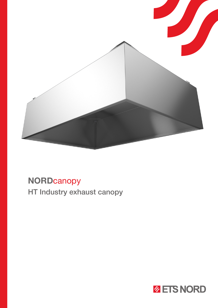

# **NORDcanopy** HT Industry exhaust canopy

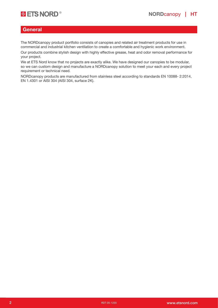

#### **General**

The NORDcanopy product portfolio consists of canopies and related air treatment products for use in commercial and industrial kitchen ventilation to create a comfortable and hygienic work environment.

Our products combine stylish design with highly effective grease, heat and odor removal performance for your project.

We at ETS Nord know that no projects are exactly alike. We have designed our canopies to be modular, so we can custom design and manufacture a NORDcanopy solution to meet your each and every project requirement or technical need.

NORDcanopy products are manufactured from stainless steel according to standards EN 10088- 2:2014, EN 1.4301 or AISI 304 (AISI 304, surface 2K).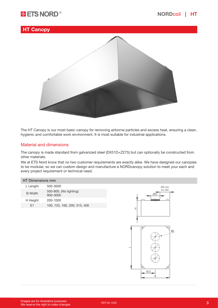# **B**  $\bullet$  ETS NORD<sup>®</sup> and the set of the set of the set of the set of the set of the set of the set of the set of the set of the set of the set of the set of the set of the set of the set of the set of the set of the set of

## HT Canopy



The HT Canopy is our most basic canopy for removing airborne particles and excess heat, ensuring a clean, hygienic and comfortable work environment. It is most suitable for industrial applications.

#### Material and dimensions

The canopy is made standard from galvanized steel (DX51D+Z275) but can optionally be constructed from other materials.

We at ETS Nord know that no two customer requirements are exactly alike. We have designed our canopies to be modular, so we can custom design and manufacture a NORDcanopy solution to meet your each and every project requirement or technical need.

#### HT Dimensions mm

| L Lenght       | 500-3000                           |
|----------------|------------------------------------|
| <b>B</b> Width | 500-800, (No lighting)<br>900-3000 |
| H Height       | 200-1000                           |
| F1             | 100, 125, 160, 200, 315, 400       |

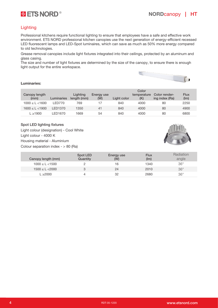

### **Lighting**

Professional kitchens require functional lighting to ensure that employees have a safe and effective work environment. ETS NORD professional kitchen canopies use the next generation of energy-efficient recessed LED fluorescent lamps and LED-Spot luminaires, which can save as much as 50% more energy compared to old technologies.

Grease removal canopies include light fixtures integrated into their ceilings, protected by an aluminum and glass casing.

The size and number of light fixtures are determined by the size of the canopy, to ensure there is enough light output for the entire workspace.



#### Luminaries:

|                       |                |                         | Color             |             |                    |                                 |              |
|-----------------------|----------------|-------------------------|-------------------|-------------|--------------------|---------------------------------|--------------|
| Canopy length<br>(mm) | Luminaries     | Lighting<br>length (mm) | Energy use<br>(W) | Light color | temperature<br>(K) | Color render-<br>ing index (Ra) | Flux<br>(lm) |
| $1000 \le L \le 1600$ | <b>I FD770</b> | 769                     |                   | 840         | 4000               | 80                              | 2250         |
| $1600 \le L \le 1900$ | LED1370        | 1350                    | 41                | 840         | 4000               | 80                              | 4900         |
| $L \ge 1900$          | LED1670        | 1669                    | 54                | 840         | 4000               | 80                              | 6800         |

#### Spot LED lighting fixtures

Light colour (designation) - Cool White Light colour - 4000 K Housing material - Aluminium Colour separation index  $-$  > 80 (Ra)



| Canopy length (mm)    | Spot LED<br>Quantity | Energy use<br>(W) | Flux<br>(lm) | Radiation<br>angle |
|-----------------------|----------------------|-------------------|--------------|--------------------|
| $1000 \le L \le 1500$ |                      | 16                | 1340         | $36^\circ$         |
| $1500 \le L \le 2000$ |                      | 24                | 2010         | $36^\circ$         |
| $\geq$ 2000           |                      | 32                | 2680         | $36^\circ$         |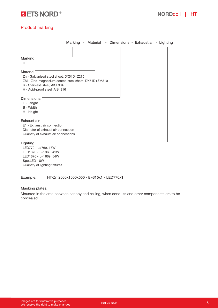

### Product marking

| Material - Dimensions - Exhaust air - Lighting<br>Marking -                                                                                                                          |  |
|--------------------------------------------------------------------------------------------------------------------------------------------------------------------------------------|--|
| <b>Marking</b><br>HT                                                                                                                                                                 |  |
| <b>Material</b><br>Zn - Galvanized steel sheet, DX51D+Z275<br>ZM - Zinc-magnesium coated steel sheet, DX51D+ZM310<br>R - Stainless steel, AISI 304<br>H - Acid-proof steel, AISI 316 |  |
| <b>Dimensions</b><br>L - Lenght<br>B - Width<br>H - Height                                                                                                                           |  |
| <b>Exhaust air</b><br>E1 - Exhaust air connection<br>Diameter of exhaust air connection<br>Quantity of exhaust air connections                                                       |  |

#### Lighting<sup>-</sup>

LED770 - L=769, 17W LED1370 - L=1369, 41W LED1670 - L=1669, 54W SpotLED - 8W Quantity of lighting fixtures

Example: HT-Zn 2000x1000x550 - E=315x1 - LED770x1

#### Masking plates:

Mounted in the area between canopy and ceiling, when conduits and other components are to be concealed.